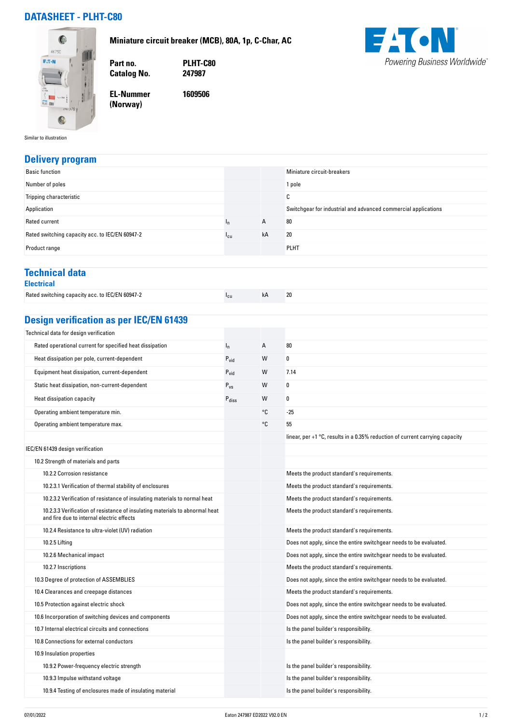### **DATASHEET - PLHT-C80**

**Miniature circuit breaker (MCB), 80A, 1p, C-Char, AC**

**1609506**





**Part no. PLHT-C80**

**EL-Nummer (Norway)** 

**Catalog No.** 

Similar to illustration

#### **Delivery program**

| <b>Basic function</b>                           |                 |    | Miniature circuit-breakers                                     |
|-------------------------------------------------|-----------------|----|----------------------------------------------------------------|
| Number of poles                                 |                 |    | 1 pole                                                         |
| Tripping characteristic                         |                 |    | $\sim$<br>◡                                                    |
| Application                                     |                 |    | Switchgear for industrial and advanced commercial applications |
| Rated current                                   | 'n              | Α  | 80                                                             |
| Rated switching capacity acc. to IEC/EN 60947-2 | <sup>1</sup> cu | kA | 20                                                             |
| Product range                                   |                 |    | <b>PLHT</b>                                                    |

#### **Technical data Electrical**

| Rated switching capacity acc. to IEC/EN 60947-2 | kA |  |
|-------------------------------------------------|----|--|
|                                                 |    |  |

# **Design verification as per IEC/EN 61439**

| Technical data for design verification                                                                                    |                            |    |                                                                                |
|---------------------------------------------------------------------------------------------------------------------------|----------------------------|----|--------------------------------------------------------------------------------|
| Rated operational current for specified heat dissipation                                                                  | $I_{n}$                    | А  | 80                                                                             |
| Heat dissipation per pole, current-dependent                                                                              | $P_{vid}$                  | W  | 0                                                                              |
| Equipment heat dissipation, current-dependent                                                                             | $P_{vid}$                  | W  | 7.14                                                                           |
| Static heat dissipation, non-current-dependent                                                                            | $P_{VS}$                   | W  | 0                                                                              |
| Heat dissipation capacity                                                                                                 | $\mathsf{P}_{\text{diss}}$ | W  | 0                                                                              |
| Operating ambient temperature min.                                                                                        |                            | °C | -25                                                                            |
| Operating ambient temperature max.                                                                                        |                            | °C | 55                                                                             |
|                                                                                                                           |                            |    | linear, per $+1$ °C, results in a 0.35% reduction of current carrying capacity |
| IEC/EN 61439 design verification                                                                                          |                            |    |                                                                                |
| 10.2 Strength of materials and parts                                                                                      |                            |    |                                                                                |
| 10.2.2 Corrosion resistance                                                                                               |                            |    | Meets the product standard's requirements.                                     |
| 10.2.3.1 Verification of thermal stability of enclosures                                                                  |                            |    | Meets the product standard's requirements.                                     |
| 10.2.3.2 Verification of resistance of insulating materials to normal heat                                                |                            |    | Meets the product standard's requirements.                                     |
| 10.2.3.3 Verification of resistance of insulating materials to abnormal heat<br>and fire due to internal electric effects |                            |    | Meets the product standard's requirements.                                     |
| 10.2.4 Resistance to ultra-violet (UV) radiation                                                                          |                            |    | Meets the product standard's requirements.                                     |
| 10.2.5 Lifting                                                                                                            |                            |    | Does not apply, since the entire switchgear needs to be evaluated.             |
| 10.2.6 Mechanical impact                                                                                                  |                            |    | Does not apply, since the entire switchgear needs to be evaluated.             |
| 10.2.7 Inscriptions                                                                                                       |                            |    | Meets the product standard's requirements.                                     |
| 10.3 Degree of protection of ASSEMBLIES                                                                                   |                            |    | Does not apply, since the entire switchgear needs to be evaluated.             |
| 10.4 Clearances and creepage distances                                                                                    |                            |    | Meets the product standard's requirements.                                     |
| 10.5 Protection against electric shock                                                                                    |                            |    | Does not apply, since the entire switchgear needs to be evaluated.             |
| 10.6 Incorporation of switching devices and components                                                                    |                            |    | Does not apply, since the entire switchgear needs to be evaluated.             |
| 10.7 Internal electrical circuits and connections                                                                         |                            |    | Is the panel builder's responsibility.                                         |
| 10.8 Connections for external conductors                                                                                  |                            |    | Is the panel builder's responsibility.                                         |
| 10.9 Insulation properties                                                                                                |                            |    |                                                                                |
| 10.9.2 Power-frequency electric strength                                                                                  |                            |    | Is the panel builder's responsibility.                                         |
| 10.9.3 Impulse withstand voltage                                                                                          |                            |    | Is the panel builder's responsibility.                                         |
| 10.9.4 Testing of enclosures made of insulating material                                                                  |                            |    | Is the panel builder's responsibility.                                         |